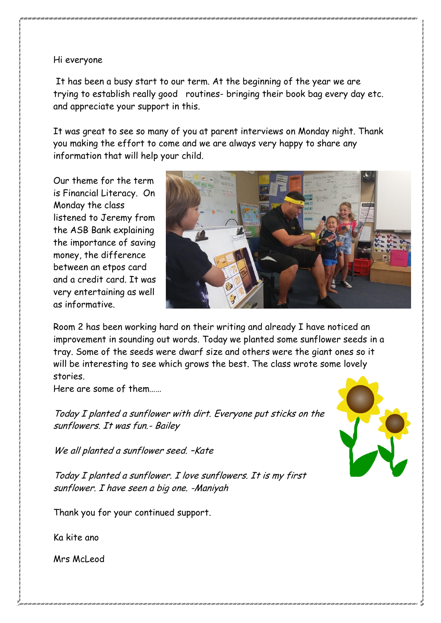## Hi everyone

It has been a busy start to our term. At the beginning of the year we are trying to establish really good routines- bringing their book bag every day etc. and appreciate your support in this.

It was great to see so many of you at parent interviews on Monday night. Thank you making the effort to come and we are always very happy to share any information that will help your child.

Our theme for the term is Financial Literacy. On Monday the class listened to Jeremy from the ASB Bank explaining the importance of saving money, the difference between an etpos card and a credit card. It was very entertaining as well as informative.



Room 2 has been working hard on their writing and already I have noticed an improvement in sounding out words. Today we planted some sunflower seeds in a tray. Some of the seeds were dwarf size and others were the giant ones so it will be interesting to see which grows the best. The class wrote some lovely stories.

Here are some of them……

Today I planted a sunflower with dirt. Everyone put sticks on the sunflowers. It was fun.- Bailey

We all planted a sunflower seed. - Kate

Today I planted a sunflower. I love sunflowers. It is my first sunflower. I have seen a big one. -Maniyah

Thank you for your continued support.

Ka kite ano

Mrs McLeod